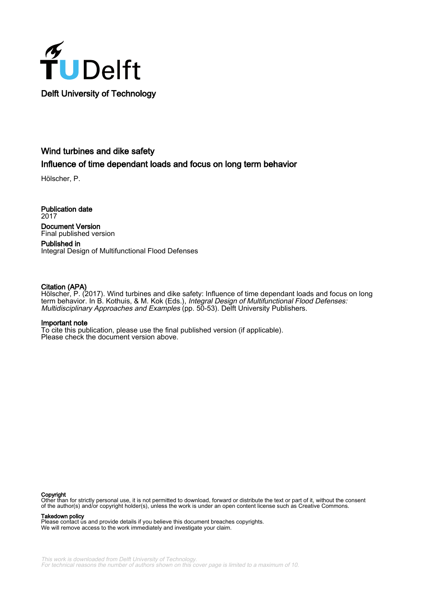

# Wind turbines and dike safety

## Influence of time dependant loads and focus on long term behavior

Hölscher, P.

Publication date 2017 Document Version Final published version

Published in Integral Design of Multifunctional Flood Defenses

### Citation (APA)

Hölscher, P. (2017). Wind turbines and dike safety: Influence of time dependant loads and focus on long term behavior. In B. Kothuis, & M. Kok (Eds.), Integral Design of Multifunctional Flood Defenses: Multidisciplinary Approaches and Examples (pp. 50-53). Delft University Publishers.

### Important note

To cite this publication, please use the final published version (if applicable). Please check the document version above.

#### Copyright

Other than for strictly personal use, it is not permitted to download, forward or distribute the text or part of it, without the consent of the author(s) and/or copyright holder(s), unless the work is under an open content license such as Creative Commons.

Takedown policy

Please contact us and provide details if you believe this document breaches copyrights. We will remove access to the work immediately and investigate your claim.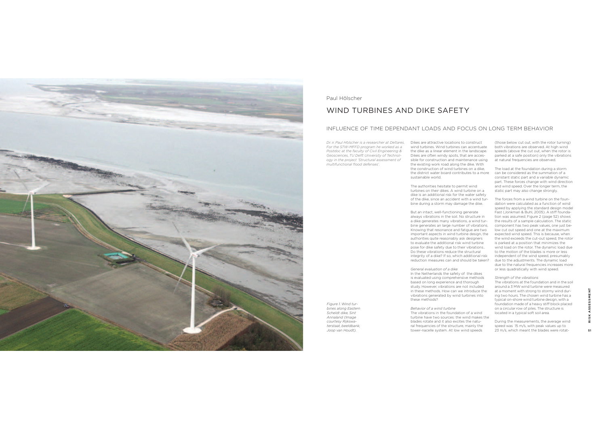

Paul Hölscher

*Figure 1 Wind tur*bines along Eastern Scheldt dike, Sint Annaland (Image courtesy Rijkswaterstaat, beeldbank, Joop van Houdt).

### WIND TURBINES AND DIKE SAFFTY

#### INFLUENCE OF TIME DEPENDANT LOADS AND FOCUS ON LONG TERM BEHAVIOR

&5=7B.;J7.;66J;M65O7.N@M;65@PB.6@.M@PB6J<M6.*-&23"&23F'\*734*i*79E:+&3"93'3&+9+'&E:+&3'/3-+7/'&+923*For the STW-MFFD program he worked as a Postdoc at the faculty of Civil Engineering & Geosciences, TU Delft University of Technol $ogy$  in the project 'Structural assessment of  $J$ <sup>2</sup> multifunctional flood defenses<sup>'</sup>.

wind turbines. Wind turbines can accentuate the dike as a linear element in the landscape. Dikes are often windy spots, that are accessible for construction and maintenance using the existing work road along the dike. With the construction of wind turbines on a dike. the district water board contributes to a more sustainable world.

The authorities hesitate to permit wind furbines on their dikes. A wind turbine on a dike is an additional risk for the water safety of the dike, since an accident with a wind tur-85 Proto and a storm may damage the dike

But an intact, well-functioning generate always vibrations in the soil. No structure in a dike generates many vibrations, a wind turbine generates an large number of vibrations. Knowing that resonance and fatigue are two important aspects in wind turbine design, the authorities quite reasonably ask designers to evaluate the additional risk wind turbine pose for dike safety due to their vibrations.. Brassels and details are to them. Hereinando integrity of a dike? If so, which additional risk reduction measures can and should be taken?

#### *<u>General evaluation of a dike</u>*

In the Netherlands the safety of the dikes is evaluated using comprehensive methods hased on long experience and thorough study. However, vibrations are not included in these methods. How can we introduce the vibrations generated by wind turbines into these methods?

#### **Behavior of a wind turbine**

The vibrations in the foundation of a wind. furbine have two sources; the wind makes the blades rotate and it also excites the natural frequencies of the structure, mainly the tower-nacelle system. At low wind speeds

(those helow cut out with the rotor turning). both vibrations are observed. At high wind speeds (above the cut out, when the rotor is parked at a safe position) only the vibrations ist natural frequencies are observed

The load at the foundation during a storm can be considered as the summation of a constant static part and a variable dynamic part. These forces change with wind direction and wind speed. Over the longer term, the Best in the species of the temperature strains in the set of the strain of the strain of the strain of the strain of the strain of the strain of the strain of the strain of the strain of the strain of the strain of the str

The forces from a wind turbine on the foundation were calculated as a function of wind speed by applying the standard design model Fast (Jonkman & Buhl, 2005). A stiff foundation was assumed. Figure 2 (page 52) shows the results of a sample calculation. The static component has two peak values, one just below cut out speed and one at the maximum expected wind speed. This is because, when the wind exceeds the cut-out speed, the rotor is parked at a position that minimizes the wind load on the rotor. The dynamic load due for the motion of the blades is more or less independent of the wind speed, presumably due to the adjustments. The dynamic load due to the natural frequencies increases more or less quadratically with wind speed

*<u>Strength of the vibrations</u>* 

The vibrations at the foundation and in the soil. around a 3 MW wind turbine were measured at a moment with strong to stormy wind during two hours. The chosen wind turbine has a typical on-shore wind turbine design with a foundation made of a heavy stiff block placed on a circular row of piles. The structure is located in a typical soft soil area.

During the measurements, the average wind speed was 15 m/s, with peak values up to 23 m/s, which meant the blades were rotat-